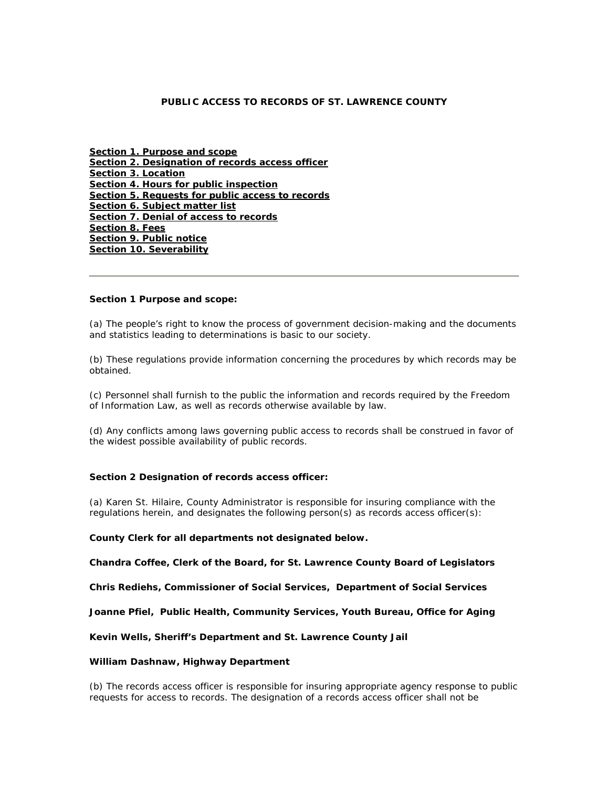## **PUBLIC ACCESS TO RECORDS OF ST. LAWRENCE COUNTY**

**Section 1. Purpose and scope Section 2. Designation of records access officer Section 3. Location Section 4. Hours for public inspection Section 5. Requests for public access to records Section 6. Subject matter list Section 7. Denial of access to records Section 8. Fees Section 9. Public notice Section 10. Severability**

#### **Section 1 Purpose and scope:**

(a) The people's right to know the process of government decision-making and the documents and statistics leading to determinations is basic to our society.

(b) These regulations provide information concerning the procedures by which records may be obtained.

(c) Personnel shall furnish to the public the information and records required by the Freedom of Information Law, as well as records otherwise available by law.

(d) Any conflicts among laws governing public access to records shall be construed in favor of the widest possible availability of public records.

### **Section 2 Designation of records access officer:**

(a) Karen St. Hilaire, County Administrator is responsible for insuring compliance with the regulations herein, and designates the following person(s) as records access officer(s):

#### **County Clerk for all departments not designated below.**

**Chandra Coffee, Clerk of the Board, for St. Lawrence County Board of Legislators** 

**Chris Rediehs, Commissioner of Social Services, Department of Social Services** 

**Joanne Pfiel, Public Health, Community Services, Youth Bureau, Office for Aging** 

**Kevin Wells, Sheriff's Department and St. Lawrence County Jail** 

## **William Dashnaw, Highway Department**

(b) The records access officer is responsible for insuring appropriate agency response to public requests for access to records. The designation of a records access officer shall not be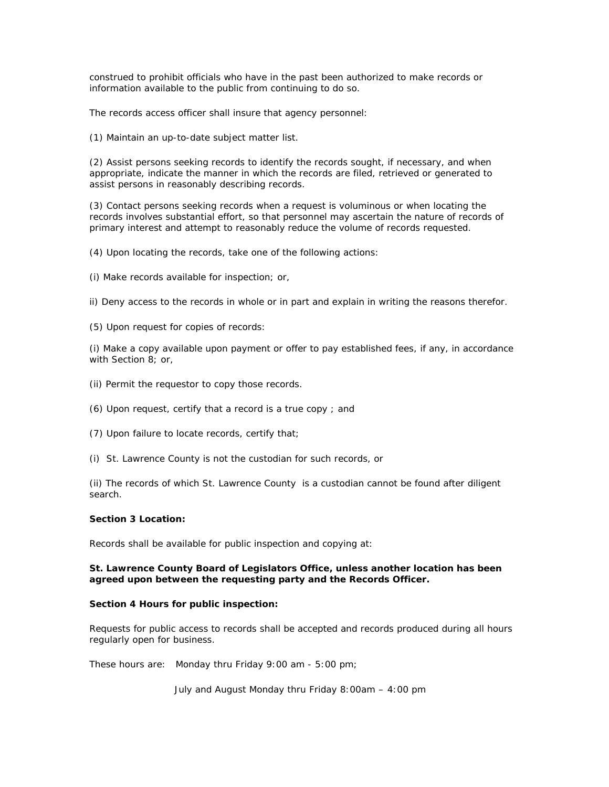construed to prohibit officials who have in the past been authorized to make records or information available to the public from continuing to do so.

The records access officer shall insure that agency personnel:

(1) Maintain an up-to-date subject matter list.

(2) Assist persons seeking records to identify the records sought, if necessary, and when appropriate, indicate the manner in which the records are filed, retrieved or generated to assist persons in reasonably describing records.

(3) Contact persons seeking records when a request is voluminous or when locating the records involves substantial effort, so that personnel may ascertain the nature of records of primary interest and attempt to reasonably reduce the volume of records requested.

(4) Upon locating the records, take one of the following actions:

(i) Make records available for inspection; or,

ii) Deny access to the records in whole or in part and explain in writing the reasons therefor.

(5) Upon request for copies of records:

(i) Make a copy available upon payment or offer to pay established fees, if any, in accordance with Section 8; or,

- (ii) Permit the requestor to copy those records.
- (6) Upon request, certify that a record is a true copy ; and
- (7) Upon failure to locate records, certify that;
- (i) St. Lawrence County is not the custodian for such records, or

(ii) The records of which St. Lawrence County is a custodian cannot be found after diligent search.

## **Section 3 Location:**

Records shall be available for public inspection and copying at:

## **St. Lawrence County Board of Legislators Office, unless another location has been agreed upon between the requesting party and the Records Officer.**

### **Section 4 Hours for public inspection:**

Requests for public access to records shall be accepted and records produced during all hours regularly open for business.

These hours are: Monday thru Friday 9:00 am - 5:00 pm;

July and August Monday thru Friday 8:00am – 4:00 pm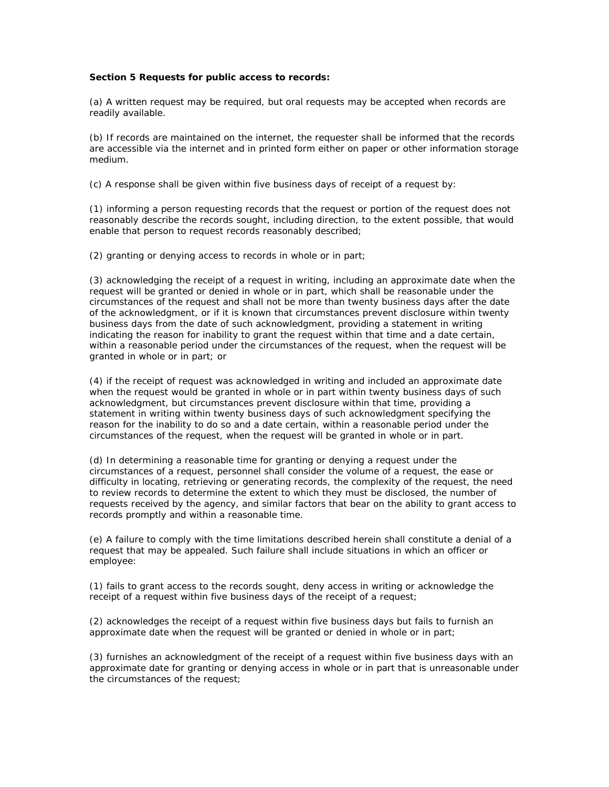### **Section 5 Requests for public access to records:**

(a) A written request may be required, but oral requests may be accepted when records are readily available.

(b) If records are maintained on the internet, the requester shall be informed that the records are accessible via the internet and in printed form either on paper or other information storage medium.

(c) A response shall be given within five business days of receipt of a request by:

(1) informing a person requesting records that the request or portion of the request does not reasonably describe the records sought, including direction, to the extent possible, that would enable that person to request records reasonably described;

(2) granting or denying access to records in whole or in part;

(3) acknowledging the receipt of a request in writing, including an approximate date when the request will be granted or denied in whole or in part, which shall be reasonable under the circumstances of the request and shall not be more than twenty business days after the date of the acknowledgment, or if it is known that circumstances prevent disclosure within twenty business days from the date of such acknowledgment, providing a statement in writing indicating the reason for inability to grant the request within that time and a date certain, within a reasonable period under the circumstances of the request, when the request will be granted in whole or in part; or

(4) if the receipt of request was acknowledged in writing and included an approximate date when the request would be granted in whole or in part within twenty business days of such acknowledgment, but circumstances prevent disclosure within that time, providing a statement in writing within twenty business days of such acknowledgment specifying the reason for the inability to do so and a date certain, within a reasonable period under the circumstances of the request, when the request will be granted in whole or in part.

(d) In determining a reasonable time for granting or denying a request under the circumstances of a request, personnel shall consider the volume of a request, the ease or difficulty in locating, retrieving or generating records, the complexity of the request, the need to review records to determine the extent to which they must be disclosed, the number of requests received by the agency, and similar factors that bear on the ability to grant access to records promptly and within a reasonable time.

(e) A failure to comply with the time limitations described herein shall constitute a denial of a request that may be appealed. Such failure shall include situations in which an officer or employee:

(1) fails to grant access to the records sought, deny access in writing or acknowledge the receipt of a request within five business days of the receipt of a request;

(2) acknowledges the receipt of a request within five business days but fails to furnish an approximate date when the request will be granted or denied in whole or in part;

(3) furnishes an acknowledgment of the receipt of a request within five business days with an approximate date for granting or denying access in whole or in part that is unreasonable under the circumstances of the request;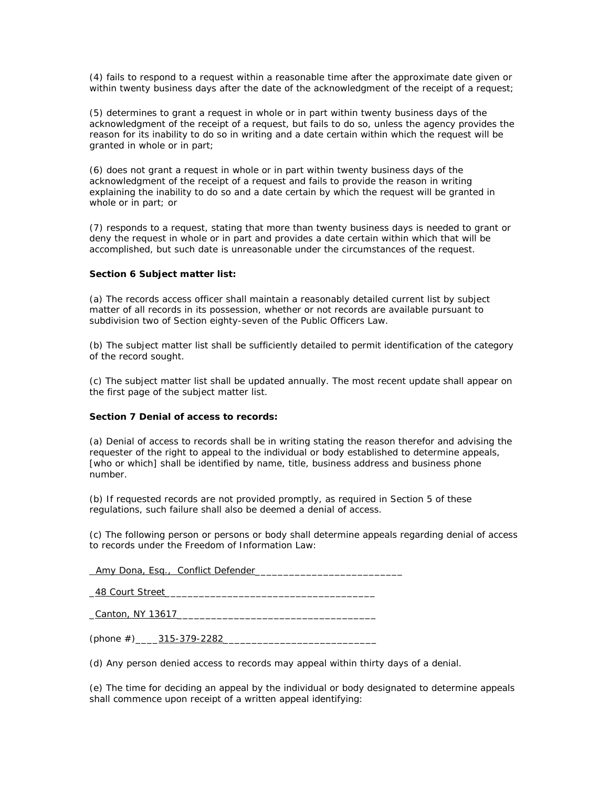(4) fails to respond to a request within a reasonable time after the approximate date given or within twenty business days after the date of the acknowledgment of the receipt of a request;

(5) determines to grant a request in whole or in part within twenty business days of the acknowledgment of the receipt of a request, but fails to do so, unless the agency provides the reason for its inability to do so in writing and a date certain within which the request will be granted in whole or in part;

(6) does not grant a request in whole or in part within twenty business days of the acknowledgment of the receipt of a request and fails to provide the reason in writing explaining the inability to do so and a date certain by which the request will be granted in whole or in part; or

(7) responds to a request, stating that more than twenty business days is needed to grant or deny the request in whole or in part and provides a date certain within which that will be accomplished, but such date is unreasonable under the circumstances of the request.

## **Section 6 Subject matter list:**

(a) The records access officer shall maintain a reasonably detailed current list by subject matter of all records in its possession, whether or not records are available pursuant to subdivision two of Section eighty-seven of the Public Officers Law.

(b) The subject matter list shall be sufficiently detailed to permit identification of the category of the record sought.

(c) The subject matter list shall be updated annually. The most recent update shall appear on the first page of the subject matter list.

#### **Section 7 Denial of access to records:**

(a) Denial of access to records shall be in writing stating the reason therefor and advising the requester of the right to appeal to the individual or body established to determine appeals, [who or which] shall be identified by name, title, business address and business phone number.

(b) If requested records are not provided promptly, as required in Section 5 of these regulations, such failure shall also be deemed a denial of access.

(c) The following person or persons or body shall determine appeals regarding denial of access to records under the Freedom of Information Law:

 *Amy Dona, Esq., Conflict Defender*\_\_\_\_\_\_\_\_\_\_\_\_\_\_\_\_\_\_\_\_\_\_\_\_\_\_

*\_48 Court Street\_\_\_\_\_\_\_\_\_\_\_\_\_\_\_\_\_\_\_\_\_\_\_\_\_\_\_\_\_\_\_\_\_\_\_\_\_* 

*\_Canton, NY 13617\_\_\_\_\_\_\_\_\_\_\_\_\_\_\_\_\_\_\_\_\_\_\_\_\_\_\_\_\_\_\_\_\_\_\_* 

*(phone #)\_\_\_\_315-379-2282\_\_\_\_\_\_\_\_\_\_\_\_\_\_\_\_\_\_\_\_\_\_\_\_\_\_\_*

(d) Any person denied access to records may appeal within thirty days of a denial.

(e) The time for deciding an appeal by the individual or body designated to determine appeals shall commence upon receipt of a written appeal identifying: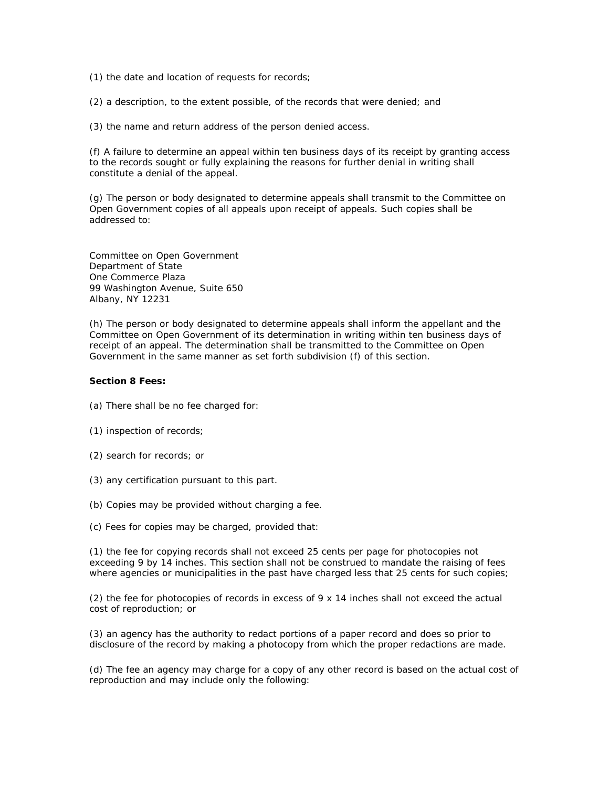(1) the date and location of requests for records;

(2) a description, to the extent possible, of the records that were denied; and

(3) the name and return address of the person denied access.

(f) A failure to determine an appeal within ten business days of its receipt by granting access to the records sought or fully explaining the reasons for further denial in writing shall constitute a denial of the appeal.

(g) The person or body designated to determine appeals shall transmit to the Committee on Open Government copies of all appeals upon receipt of appeals. Such copies shall be addressed to:

Committee on Open Government Department of State One Commerce Plaza 99 Washington Avenue, Suite 650 Albany, NY 12231

(h) The person or body designated to determine appeals shall inform the appellant and the Committee on Open Government of its determination in writing within ten business days of receipt of an appeal. The determination shall be transmitted to the Committee on Open Government in the same manner as set forth subdivision (f) of this section.

## **Section 8 Fees:**

- (a) There shall be no fee charged for:
- (1) inspection of records;
- (2) search for records; or
- (3) any certification pursuant to this part.
- (b) Copies may be provided without charging a fee.
- (c) Fees for copies may be charged, provided that:

(1) the fee for copying records shall not exceed 25 cents per page for photocopies not exceeding 9 by 14 inches. This section shall not be construed to mandate the raising of fees where agencies or municipalities in the past have charged less that 25 cents for such copies;

(2) the fee for photocopies of records in excess of  $9 \times 14$  inches shall not exceed the actual cost of reproduction; or

(3) an agency has the authority to redact portions of a paper record and does so prior to disclosure of the record by making a photocopy from which the proper redactions are made.

(d) The fee an agency may charge for a copy of any other record is based on the actual cost of reproduction and may include only the following: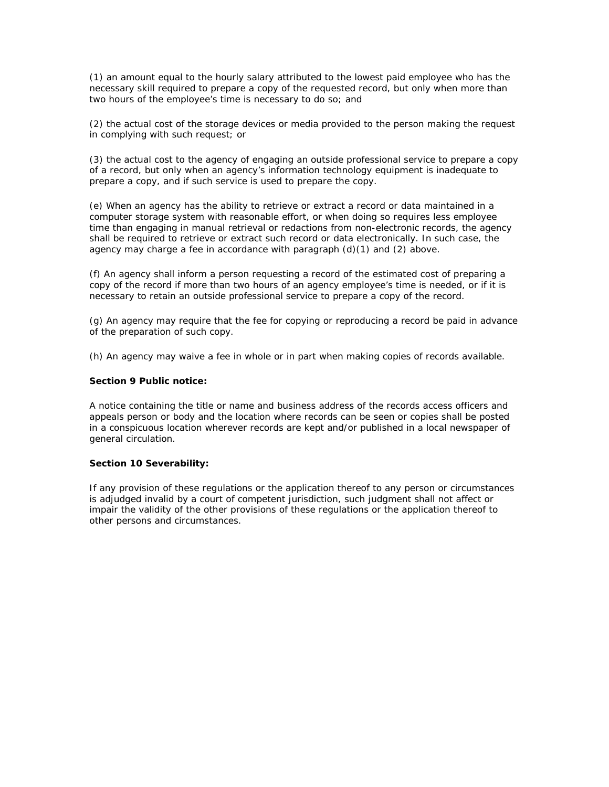(1) an amount equal to the hourly salary attributed to the lowest paid employee who has the necessary skill required to prepare a copy of the requested record, but only when more than two hours of the employee's time is necessary to do so; and

(2) the actual cost of the storage devices or media provided to the person making the request in complying with such request; or

(3) the actual cost to the agency of engaging an outside professional service to prepare a copy of a record, but only when an agency's information technology equipment is inadequate to prepare a copy, and if such service is used to prepare the copy.

(e) When an agency has the ability to retrieve or extract a record or data maintained in a computer storage system with reasonable effort, or when doing so requires less employee time than engaging in manual retrieval or redactions from non-electronic records, the agency shall be required to retrieve or extract such record or data electronically. In such case, the agency may charge a fee in accordance with paragraph  $(d)(1)$  and  $(2)$  above.

(f) An agency shall inform a person requesting a record of the estimated cost of preparing a copy of the record if more than two hours of an agency employee's time is needed, or if it is necessary to retain an outside professional service to prepare a copy of the record.

(g) An agency may require that the fee for copying or reproducing a record be paid in advance of the preparation of such copy.

(h) An agency may waive a fee in whole or in part when making copies of records available.

### **Section 9 Public notice:**

A notice containing the title or name and business address of the records access officers and appeals person or body and the location where records can be seen or copies shall be posted in a conspicuous location wherever records are kept and/or published in a local newspaper of general circulation.

#### **Section 10 Severability:**

If any provision of these regulations or the application thereof to any person or circumstances is adjudged invalid by a court of competent jurisdiction, such judgment shall not affect or impair the validity of the other provisions of these regulations or the application thereof to other persons and circumstances.